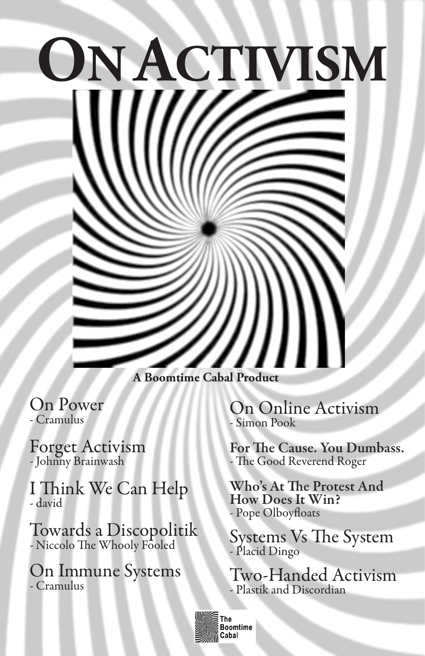# **ON ACTIVISM**

**A Boomtime Cabal Produc** 

On Power - Cramulus

Forget Activism - Johnny Brainwash

I Think We Can Help - david

Towards a Discopolitik - Niccolo The Whooly Fooled

On Immune Systems - Cramulus

On Online Activism - Simon Pook

For The Cause. You Dumbass. - The Good Reverend Roger

Who's At The Protest And How Does It Win? - Pope Olboyfloats

Systems Vs The System - Placid Dingo

Two-Handed Activism - Plastik and Discordian



Boomtime Cabal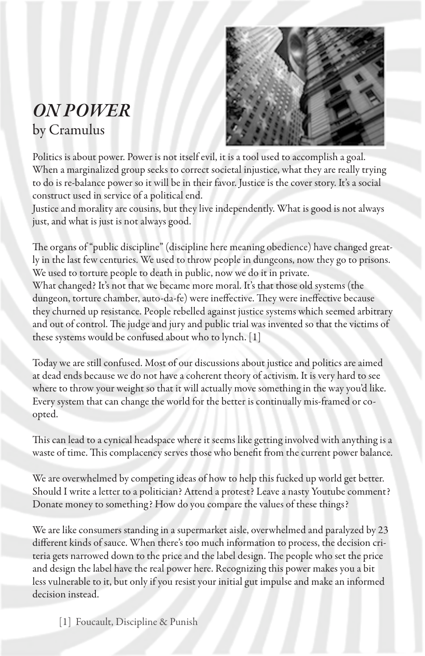#### *ON POWER* by Cramulus



Politics is about power. Power is not itself evil, it is a tool used to accomplish a goal. When a marginalized group seeks to correct societal injustice, what they are really trying to do is re-balance power so it will be in their favor. Justice is the cover story. It's a social construct used in service of a political end.

Justice and morality are cousins, but they live independently. What is good is not always just, and what is just is not always good.

The organs of "public discipline" (discipline here meaning obedience) have changed greatly in the last few centuries. We used to throw people in dungeons, now they go to prisons. We used to torture people to death in public, now we do it in private. What changed? It's not that we became more moral. It's that those old systems (the dungeon, torture chamber, auto-da-fe) were ineffective. They were ineffective because they churned up resistance. People rebelled against justice systems which seemed arbitrary and out of control. The judge and jury and public trial was invented so that the victims of these systems would be confused about who to lynch. [1]

Today we are still confused. Most of our discussions about justice and politics are aimed at dead ends because we do not have a coherent theory of activism. It is very hard to see where to throw your weight so that it will actually move something in the way you'd like. Every system that can change the world for the better is continually mis-framed or coopted.

This can lead to a cynical headspace where it seems like getting involved with anything is a waste of time. This complacency serves those who benefit from the current power balance.

We are overwhelmed by competing ideas of how to help this fucked up world get better. Should I write a letter to a politician? Attend a protest? Leave a nasty Youtube comment? Donate money to something? How do you compare the values of these things?

We are like consumers standing in a supermarket aisle, overwhelmed and paralyzed by 23 different kinds of sauce. When there's too much information to process, the decision criteria gets narrowed down to the price and the label design. The people who set the price and design the label have the real power here. Recognizing this power makes you a bit less vulnerable to it, but only if you resist your initial gut impulse and make an informed decision instead.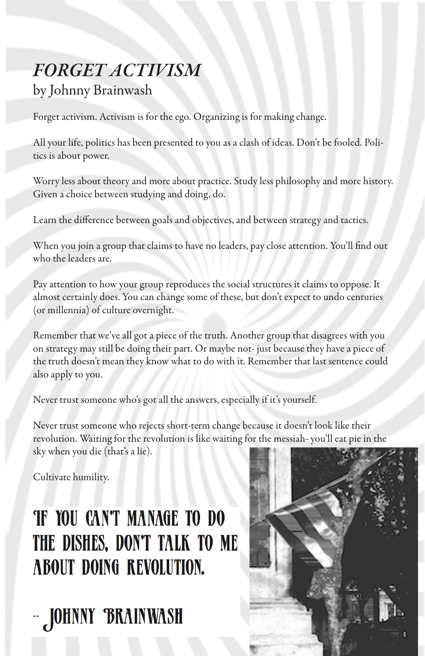#### *FORGET ACTIVISM* by Johnny Brainwash

Forget activism. Activism is for the ego. Organizing is for making change.

All your life, politics has been presented to you as a clash of ideas. Don't be fooled. Politics is about power.

Worry less about theory and more about practice. Study less philosophy and more history. Given a choice between studying and doing, do.

Learn the difference between goals and objectives, and between strategy and tactics.

When you join a group that claims to have no leaders, pay close attention. You'll find out who the leaders are.

Pay attention to how your group reproduces the social structures it claims to oppose. It almost certainly does. You can change some of these, but don't expect to undo centuries (or millennia) of culture overnight.

Remember that we've all got a piece of the truth. Another group that disagrees with you on strategy may still be doing their part. Or maybe not- just because they have a piece of the truth doesn't mean they know what to do with it. Remember that last sentence could also apply to you.

Never trust someone who's got all the answers, especially if it's yourself.

Never trust someone who rejects short-term change because it doesn't look like their revolution. Waiting for the revolution is like waiting for the messiah- you'll eat pie in the sky when you die (that's a lie).

Cultivate humility.

# **TF YOU CAN'T MANAGE TO DO** THE DISHES, DON'T TALK TO ME **ABOUT DOING REVOLUTION.**

- JOHNNY BRAINWASH

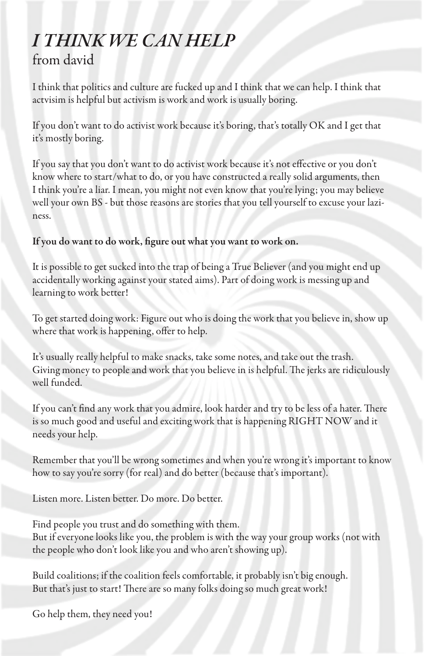#### *I THINK WE CAN HELP* from david

I think that politics and culture are fucked up and I think that we can help. I think that actvisim is helpful but activism is work and work is usually boring.

If you don't want to do activist work because it's boring, that's totally OK and I get that it's mostly boring.

If you say that you don't want to do activist work because it's not effective or you don't know where to start/what to do, or you have constructed a really solid arguments, then I think you're a liar. I mean, you might not even know that you're lying; you may believe well your own BS - but those reasons are stories that you tell yourself to excuse your laziness.

#### If you do want to do work, figure out what you want to work on.

It is possible to get sucked into the trap of being a True Believer (and you might end up accidentally working against your stated aims). Part of doing work is messing up and learning to work better!

To get started doing work: Figure out who is doing the work that you believe in, show up where that work is happening, offer to help.

It's usually really helpful to make snacks, take some notes, and take out the trash. Giving money to people and work that you believe in is helpful. The jerks are ridiculously well funded.

If you can't find any work that you admire, look harder and try to be less of a hater. There is so much good and useful and exciting work that is happening RIGHT NOW and it needs your help.

Remember that you'll be wrong sometimes and when you're wrong it's important to know how to say you're sorry (for real) and do better (because that's important).

Listen more. Listen better. Do more. Do better.

Find people you trust and do something with them. But if everyone looks like you, the problem is with the way your group works (not with the people who don't look like you and who aren't showing up).

Build coalitions; if the coalition feels comfortable, it probably isn't big enough. But that's just to start! There are so many folks doing so much great work!

Go help them, they need you!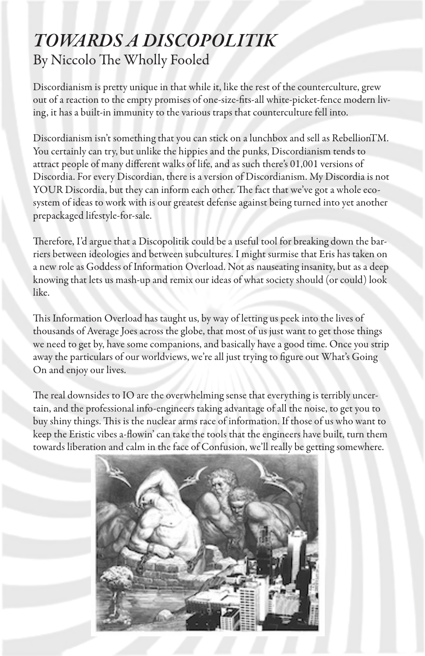#### *TOWARDS A DISCOPOLITIK* By Niccolo The Wholly Fooled

Discordianism is pretty unique in that while it, like the rest of the counterculture, grew out of a reaction to the empty promises of one-size-fits-all white-picket-fence modern living, it has a built-in immunity to the various traps that counterculture fell into.

Discordianism isn't something that you can stick on a lunchbox and sell as RebellionTM. You certainly can try, but unlike the hippies and the punks, Discordianism tends to attract people of many different walks of life, and as such there's 01,001 versions of Discordia. For every Discordian, there is a version of Discordianism. My Discordia is not YOUR Discordia, but they can inform each other. The fact that we've got a whole ecosystem of ideas to work with is our greatest defense against being turned into yet another prepackaged lifestyle-for-sale.

Therefore, I'd argue that a Discopolitik could be a useful tool for breaking down the barriers between ideologies and between subcultures. I might surmise that Eris has taken on a new role as Goddess of Information Overload. Not as nauseating insanity, but as a deep knowing that lets us mash-up and remix our ideas of what society should (or could) look like.

This Information Overload has taught us, by way of letting us peek into the lives of thousands of Average Joes across the globe, that most of us just want to get those things we need to get by, have some companions, and basically have a good time. Once you strip away the particulars of our worldviews, we're all just trying to figure out What's Going On and enjoy our lives.

The real downsides to IO are the overwhelming sense that everything is terribly uncertain, and the professional info-engineers taking advantage of all the noise, to get you to buy shiny things. This is the nuclear arms race of information. If those of us who want to keep the Eristic vibes a-flowin' can take the tools that the engineers have built, turn them towards liberation and calm in the face of Confusion, we'll really be getting somewhere.

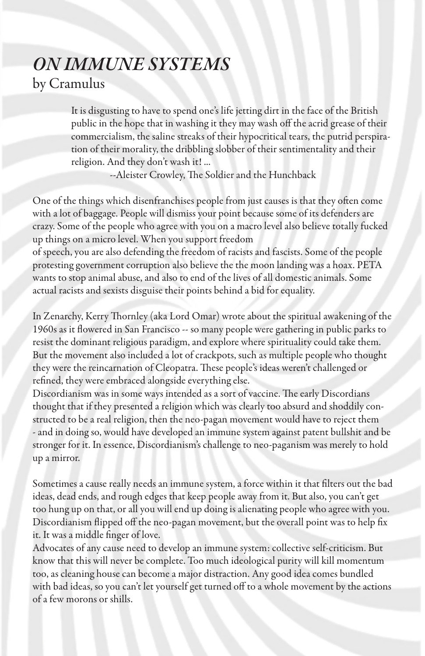#### *ON IMMUNE SYSTEMS* by Cramulus

It is disgusting to have to spend one's life jetting dirt in the face of the British public in the hope that in washing it they may wash off the acrid grease of their commercialism, the saline streaks of their hypocritical tears, the putrid perspiration of their morality, the dribbling slobber of their sentimentality and their religion. And they don't wash it! ...

--Aleister Crowley, The Soldier and the Hunchback

One of the things which disenfranchises people from just causes is that they often come with a lot of baggage. People will dismiss your point because some of its defenders are crazy. Some of the people who agree with you on a macro level also believe totally fucked up things on a micro level. When you support freedom

of speech, you are also defending the freedom of racists and fascists. Some of the people protesting government corruption also believe the the moon landing was a hoax. PETA wants to stop animal abuse, and also to end of the lives of all domestic animals. Some actual racists and sexists disguise their points behind a bid for equality.

In Zenarchy, Kerry Thornley (aka Lord Omar) wrote about the spiritual awakening of the 1960s as it flowered in San Francisco -- so many people were gathering in public parks to resist the dominant religious paradigm, and explore where spirituality could take them. But the movement also included a lot of crackpots, such as multiple people who thought they were the reincarnation of Cleopatra. These people's ideas weren't challenged or refined, they were embraced alongside everything else.

Discordianism was in some ways intended as a sort of vaccine. The early Discordians thought that if they presented a religion which was clearly too absurd and shoddily constructed to be a real religion, then the neo-pagan movement would have to reject them - and in doing so, would have developed an immune system against patent bullshit and be stronger for it. In essence, Discordianism's challenge to neo-paganism was merely to hold up a mirror.

Sometimes a cause really needs an immune system, a force within it that filters out the bad ideas, dead ends, and rough edges that keep people away from it. But also, you can't get too hung up on that, or all you will end up doing is alienating people who agree with you. Discordianism flipped off the neo-pagan movement, but the overall point was to help fix it. It was a middle finger of love.

Advocates of any cause need to develop an immune system: collective self-criticism. But know that this will never be complete. Too much ideological purity will kill momentum too, as cleaning house can become a major distraction. Any good idea comes bundled with bad ideas, so you can't let yourself get turned off to a whole movement by the actions of a few morons or shills.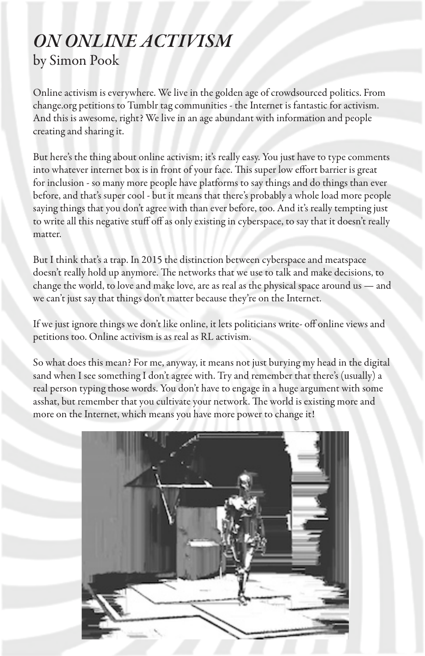#### *ON ONLINE ACTIVISM* by Simon Pook

Online activism is everywhere. We live in the golden age of crowdsourced politics. From change.org petitions to Tumblr tag communities - the Internet is fantastic for activism. And this is awesome, right? We live in an age abundant with information and people creating and sharing it.

But here's the thing about online activism; it's really easy. You just have to type comments into whatever internet box is in front of your face. This super low effort barrier is great for inclusion - so many more people have platforms to say things and do things than ever before, and that's super cool - but it means that there's probably a whole load more people saying things that you don't agree with than ever before, too. And it's really tempting just to write all this negative stuff off as only existing in cyberspace, to say that it doesn't really matter.

But I think that's a trap. In 2015 the distinction between cyberspace and meatspace doesn't really hold up anymore. The networks that we use to talk and make decisions, to change the world, to love and make love, are as real as the physical space around us — and we can't just say that things don't matter because they're on the Internet.

If we just ignore things we don't like online, it lets politicians write- off online views and petitions too. Online activism is as real as RL activism.

So what does this mean? For me, anyway, it means not just burying my head in the digital sand when I see something I don't agree with. Try and remember that there's (usually) a real person typing those words. You don't have to engage in a huge argument with some asshat, but remember that you cultivate your network. The world is existing more and more on the Internet, which means you have more power to change it!

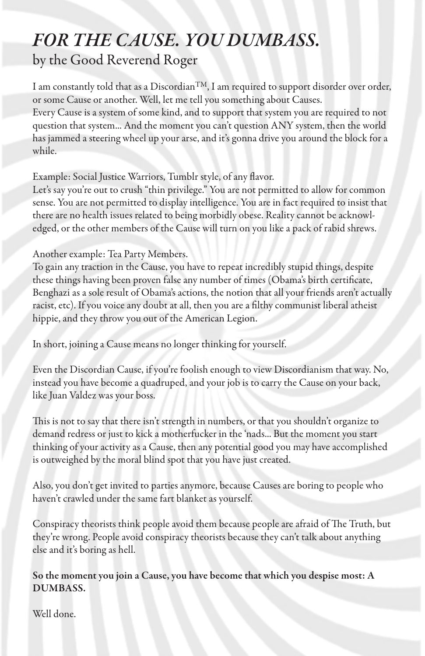## *FOR THE CAUSE. YOU DUMBASS.*

by the Good Reverend Roger

I am constantly told that as a Discordian<sup>TM</sup>, I am required to support disorder over order, or some Cause or another. Well, let me tell you something about Causes.

Every Cause is a system of some kind, and to support that system you are required to not question that system... And the moment you can't question ANY system, then the world has jammed a steering wheel up your arse, and it's gonna drive you around the block for a while.

Example: Social Justice Warriors, Tumblr style, of any flavor.

Let's say you're out to crush "thin privilege." You are not permitted to allow for common sense. You are not permitted to display intelligence. You are in fact required to insist that there are no health issues related to being morbidly obese. Reality cannot be acknowledged, or the other members of the Cause will turn on you like a pack of rabid shrews.

Another example: Tea Party Members.

To gain any traction in the Cause, you have to repeat incredibly stupid things, despite these things having been proven false any number of times (Obama's birth certificate, Benghazi as a sole result of Obama's actions, the notion that all your friends aren't actually racist, etc). If you voice any doubt at all, then you are a filthy communist liberal atheist hippie, and they throw you out of the American Legion.

In short, joining a Cause means no longer thinking for yourself.

Even the Discordian Cause, if you're foolish enough to view Discordianism that way. No, instead you have become a quadruped, and your job is to carry the Cause on your back, like Juan Valdez was your boss.

This is not to say that there isn't strength in numbers, or that you shouldn't organize to demand redress or just to kick a motherfucker in the 'nads... But the moment you start thinking of your activity as a Cause, then any potential good you may have accomplished is outweighed by the moral blind spot that you have just created.

Also, you don't get invited to parties anymore, because Causes are boring to people who haven't crawled under the same fart blanket as yourself.

Conspiracy theorists think people avoid them because people are afraid of The Truth, but they're wrong. People avoid conspiracy theorists because they can't talk about anything else and it's boring as hell.

So the moment you join a Cause, you have become that which you despise most: A DUMBASS.

Well done.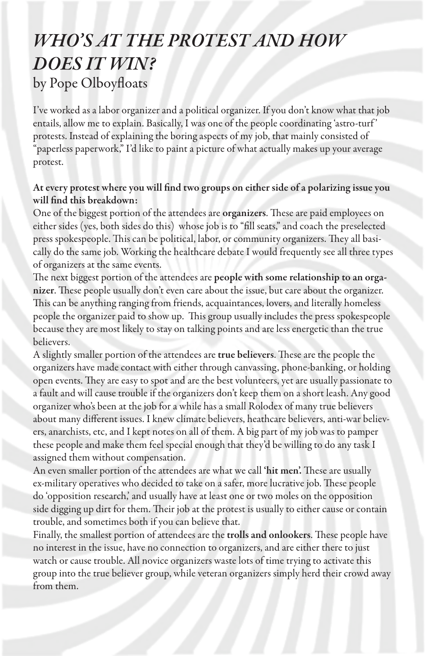### *WHO'S AT THE PROTEST AND HOW DOES IT WIN?* by Pope Olboyfloats

I've worked as a labor organizer and a political organizer. If you don't know what that job entails, allow me to explain. Basically, I was one of the people coordinating 'astro-turf ' protests. Instead of explaining the boring aspects of my job, that mainly consisted of "paperless paperwork," I'd like to paint a picture of what actually makes up your average protest.

#### At every protest where you will find two groups on either side of a polarizing issue you will find this breakdown:

One of the biggest portion of the attendees are organizers. These are paid employees on either sides (yes, both sides do this) whose job is to "fill seats," and coach the preselected press spokespeople. This can be political, labor, or community organizers. They all basically do the same job. Working the healthcare debate I would frequently see all three types of organizers at the same events.

The next biggest portion of the attendees are people with some relationship to an organizer. These people usually don't even care about the issue, but care about the organizer. This can be anything ranging from friends, acquaintances, lovers, and literally homeless people the organizer paid to show up. This group usually includes the press spokespeople because they are most likely to stay on talking points and are less energetic than the true believers.

A slightly smaller portion of the attendees are true believers. These are the people the organizers have made contact with either through canvassing, phone-banking, or holding open events. They are easy to spot and are the best volunteers, yet are usually passionate to a fault and will cause trouble if the organizers don't keep them on a short leash. Any good organizer who's been at the job for a while has a small Rolodex of many true believers about many different issues. I knew climate believers, heathcare believers, anti-war believers, anarchists, etc, and I kept notes on all of them. A big part of my job was to pamper these people and make them feel special enough that they'd be willing to do any task I assigned them without compensation.

An even smaller portion of the attendees are what we call 'hit men'. These are usually ex-military operatives who decided to take on a safer, more lucrative job. These people do 'opposition research,' and usually have at least one or two moles on the opposition side digging up dirt for them. Their job at the protest is usually to either cause or contain trouble, and sometimes both if you can believe that.

Finally, the smallest portion of attendees are the trolls and onlookers. These people have no interest in the issue, have no connection to organizers, and are either there to just watch or cause trouble. All novice organizers waste lots of time trying to activate this group into the true believer group, while veteran organizers simply herd their crowd away from them.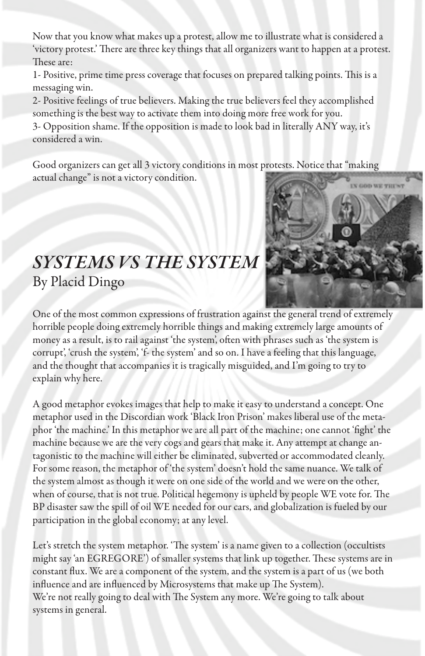Now that you know what makes up a protest, allow me to illustrate what is considered a 'victory protest.' There are three key things that all organizers want to happen at a protest. These are:

1- Positive, prime time press coverage that focuses on prepared talking points. This is a messaging win.

2- Positive feelings of true believers. Making the true believers feel they accomplished something is the best way to activate them into doing more free work for you.

3- Opposition shame. If the opposition is made to look bad in literally ANY way, it's considered a win.

Good organizers can get all 3 victory conditions in most protests. Notice that "making actual change" is not a victory condition.

#### *SYSTEMS VS THE SYSTEM* By Placid Dingo

One of the most common expressions of frustration against the general trend of extremely horrible people doing extremely horrible things and making extremely large amounts of money as a result, is to rail against 'the system', often with phrases such as 'the system is corrupt', 'crush the system', 'f- the system' and so on. I have a feeling that this language, and the thought that accompanies it is tragically misguided, and I'm going to try to explain why here.

A good metaphor evokes images that help to make it easy to understand a concept. One metaphor used in the Discordian work 'Black Iron Prison' makes liberal use of the metaphor 'the machine.' In this metaphor we are all part of the machine; one cannot 'fight' the machine because we are the very cogs and gears that make it. Any attempt at change antagonistic to the machine will either be eliminated, subverted or accommodated cleanly. For some reason, the metaphor of 'the system' doesn't hold the same nuance. We talk of the system almost as though it were on one side of the world and we were on the other, when of course, that is not true. Political hegemony is upheld by people WE vote for. The BP disaster saw the spill of oil WE needed for our cars, and globalization is fueled by our participation in the global economy; at any level.

Let's stretch the system metaphor. 'The system' is a name given to a collection (occultists might say 'an EGREGORE') of smaller systems that link up together. These systems are in constant flux. We are a component of the system, and the system is a part of us (we both influence and are influenced by Microsystems that make up The System). We're not really going to deal with The System any more. We're going to talk about systems in general.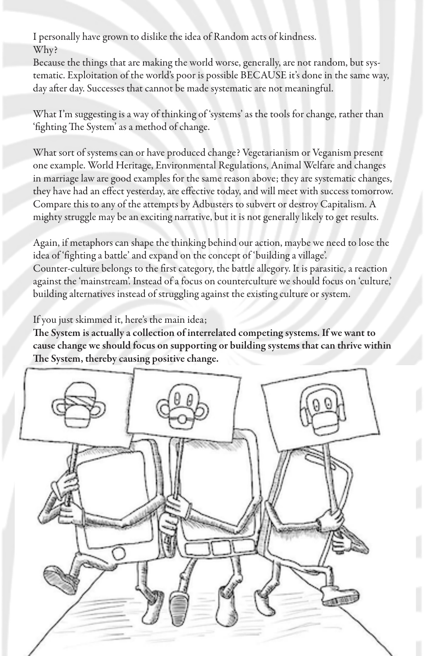I personally have grown to dislike the idea of Random acts of kindness. Why?

Because the things that are making the world worse, generally, are not random, but systematic. Exploitation of the world's poor is possible BECAUSE it's done in the same way, day after day. Successes that cannot be made systematic are not meaningful.

What I'm suggesting is a way of thinking of 'systems' as the tools for change, rather than 'fighting The System' as a method of change.

What sort of systems can or have produced change? Vegetarianism or Veganism present one example. World Heritage, Environmental Regulations, Animal Welfare and changes in marriage law are good examples for the same reason above; they are systematic changes, they have had an effect yesterday, are effective today, and will meet with success tomorrow. Compare this to any of the attempts by Adbusters to subvert or destroy Capitalism. A mighty struggle may be an exciting narrative, but it is not generally likely to get results.

Again, if metaphors can shape the thinking behind our action, maybe we need to lose the idea of 'fighting a battle' and expand on the concept of 'building a village'. Counter-culture belongs to the first category, the battle allegory. It is parasitic, a reaction against the 'mainstream'. Instead of a focus on counterculture we should focus on 'culture,' building alternatives instead of struggling against the existing culture or system.

If you just skimmed it, here's the main idea;

The System is actually a collection of interrelated competing systems. If we want to cause change we should focus on supporting or building systems that can thrive within The System, thereby causing positive change.